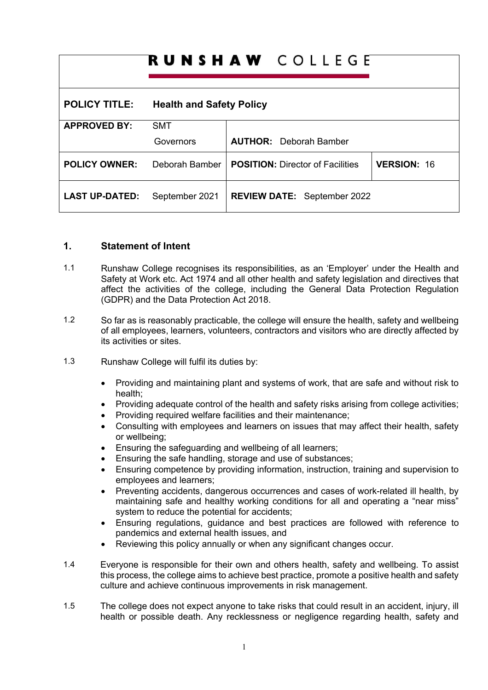| <b>RUNSHAW</b> COLLEGE |                                 |                                         |                    |
|------------------------|---------------------------------|-----------------------------------------|--------------------|
| <b>POLICY TITLE:</b>   | <b>Health and Safety Policy</b> |                                         |                    |
| <b>APPROVED BY:</b>    | <b>SMT</b>                      |                                         |                    |
|                        | Governors                       | <b>AUTHOR:</b> Deborah Bamber           |                    |
| <b>POLICY OWNER:</b>   | Deborah Bamber                  | <b>POSITION: Director of Facilities</b> | <b>VERSION: 16</b> |
| <b>LAST UP-DATED:</b>  | September 2021                  | <b>REVIEW DATE: September 2022</b>      |                    |

### **1. Statement of Intent**

- 1.1 Runshaw College recognises its responsibilities, as an 'Employer' under the Health and Safety at Work etc. Act 1974 and all other health and safety legislation and directives that affect the activities of the college, including the General Data Protection Regulation (GDPR) and the Data Protection Act 2018.
- 1.2 So far as is reasonably practicable, the college will ensure the health, safety and wellbeing of all employees, learners, volunteers, contractors and visitors who are directly affected by its activities or sites.
- 1.3 Runshaw College will fulfil its duties by:
	- Providing and maintaining plant and systems of work, that are safe and without risk to health;
	- Providing adequate control of the health and safety risks arising from college activities;
	- Providing required welfare facilities and their maintenance;
	- Consulting with employees and learners on issues that may affect their health, safety or wellbeing;
	- Ensuring the safeguarding and wellbeing of all learners;
	- Ensuring the safe handling, storage and use of substances;
	- Ensuring competence by providing information, instruction, training and supervision to employees and learners;
	- Preventing accidents, dangerous occurrences and cases of work-related ill health, by maintaining safe and healthy working conditions for all and operating a "near miss" system to reduce the potential for accidents;
	- Ensuring regulations, guidance and best practices are followed with reference to pandemics and external health issues, and
	- Reviewing this policy annually or when any significant changes occur.
- 1.4 Everyone is responsible for their own and others health, safety and wellbeing. To assist this process, the college aims to achieve best practice, promote a positive health and safety culture and achieve continuous improvements in risk management.
- 1.5 The college does not expect anyone to take risks that could result in an accident, injury, ill health or possible death. Any recklessness or negligence regarding health, safety and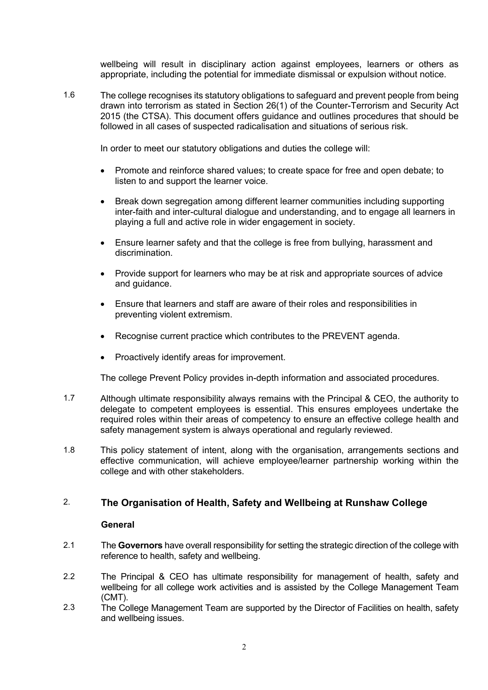wellbeing will result in disciplinary action against employees, learners or others as appropriate, including the potential for immediate dismissal or expulsion without notice.

1.6 The college recognises its statutory obligations to safeguard and prevent people from being drawn into terrorism as stated in Section 26(1) of the Counter-Terrorism and Security Act 2015 (the CTSA). This document offers guidance and outlines procedures that should be followed in all cases of suspected radicalisation and situations of serious risk.

In order to meet our statutory obligations and duties the college will:

- Promote and reinforce shared values; to create space for free and open debate; to listen to and support the learner voice.
- Break down segregation among different learner communities including supporting inter-faith and inter-cultural dialogue and understanding, and to engage all learners in playing a full and active role in wider engagement in society.
- Ensure learner safety and that the college is free from bullying, harassment and discrimination.
- Provide support for learners who may be at risk and appropriate sources of advice and guidance.
- Ensure that learners and staff are aware of their roles and responsibilities in preventing violent extremism.
- Recognise current practice which contributes to the PREVENT agenda.
- Proactively identify areas for improvement.

The college Prevent Policy provides in-depth information and associated procedures.

- 1.7 Although ultimate responsibility always remains with the Principal & CEO, the authority to delegate to competent employees is essential. This ensures employees undertake the required roles within their areas of competency to ensure an effective college health and safety management system is always operational and regularly reviewed.
- 1.8 This policy statement of intent, along with the organisation, arrangements sections and effective communication, will achieve employee/learner partnership working within the college and with other stakeholders.

# 2. **The Organisation of Health, Safety and Wellbeing at Runshaw College**

### **General**

- 2.1 The **Governors** have overall responsibility for setting the strategic direction of the college with reference to health, safety and wellbeing.
- 2.2 The Principal & CEO has ultimate responsibility for management of health, safety and wellbeing for all college work activities and is assisted by the College Management Team (CMT).
- 2.3 The College Management Team are supported by the Director of Facilities on health, safety and wellbeing issues.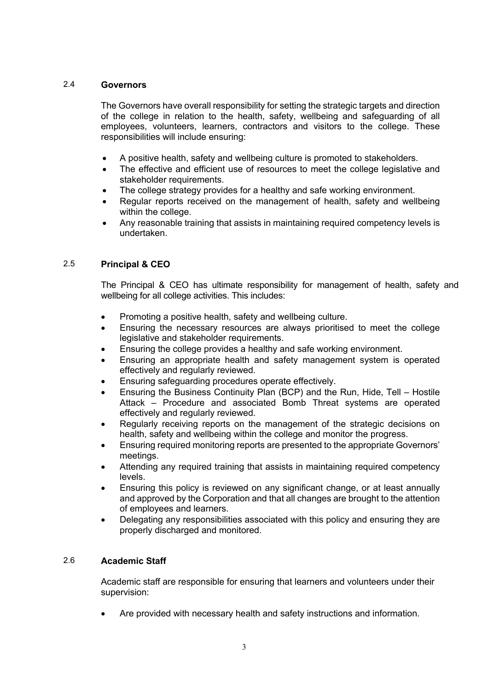### 2.4 **Governors**

The Governors have overall responsibility for setting the strategic targets and direction of the college in relation to the health, safety, wellbeing and safeguarding of all employees, volunteers, learners, contractors and visitors to the college. These responsibilities will include ensuring:

- A positive health, safety and wellbeing culture is promoted to stakeholders.
- The effective and efficient use of resources to meet the college legislative and stakeholder requirements.
- The college strategy provides for a healthy and safe working environment.
- Regular reports received on the management of health, safety and wellbeing within the college.
- Any reasonable training that assists in maintaining required competency levels is undertaken.

### 2.5 **Principal & CEO**

The Principal & CEO has ultimate responsibility for management of health, safety and wellbeing for all college activities. This includes:

- Promoting a positive health, safety and wellbeing culture.
- Ensuring the necessary resources are always prioritised to meet the college legislative and stakeholder requirements.
- Ensuring the college provides a healthy and safe working environment.
- Ensuring an appropriate health and safety management system is operated effectively and regularly reviewed.
- Ensuring safeguarding procedures operate effectively.
- Ensuring the Business Continuity Plan (BCP) and the Run, Hide, Tell Hostile Attack – Procedure and associated Bomb Threat systems are operated effectively and regularly reviewed.
- Regularly receiving reports on the management of the strategic decisions on health, safety and wellbeing within the college and monitor the progress.
- Ensuring required monitoring reports are presented to the appropriate Governors' meetings.
- Attending any required training that assists in maintaining required competency levels.
- Ensuring this policy is reviewed on any significant change, or at least annually and approved by the Corporation and that all changes are brought to the attention of employees and learners.
- Delegating any responsibilities associated with this policy and ensuring they are properly discharged and monitored.

## 2.6 **Academic Staff**

Academic staff are responsible for ensuring that learners and volunteers under their supervision:

• Are provided with necessary health and safety instructions and information.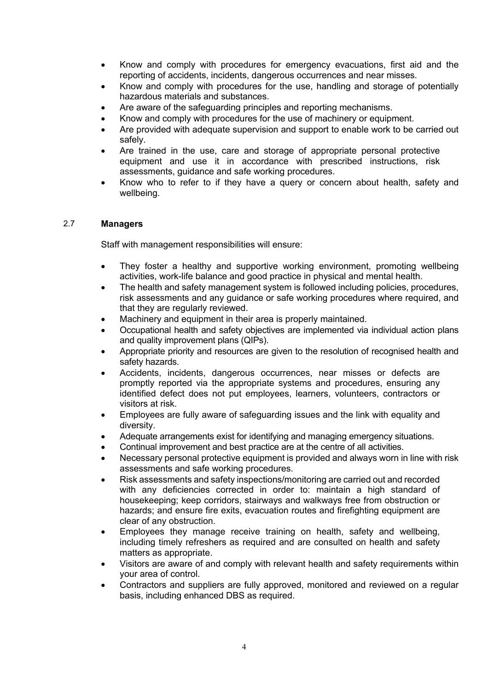- Know and comply with procedures for emergency evacuations, first aid and the reporting of accidents, incidents, dangerous occurrences and near misses.
- Know and comply with procedures for the use, handling and storage of potentially hazardous materials and substances.
- Are aware of the safeguarding principles and reporting mechanisms.
- Know and comply with procedures for the use of machinery or equipment.
- Are provided with adequate supervision and support to enable work to be carried out safely.
- Are trained in the use, care and storage of appropriate personal protective equipment and use it in accordance with prescribed instructions, risk assessments, guidance and safe working procedures.
- Know who to refer to if they have a query or concern about health, safety and wellbeing.

#### 2.7 **Managers**

Staff with management responsibilities will ensure:

- They foster a healthy and supportive working environment, promoting wellbeing activities, work-life balance and good practice in physical and mental health.
- The health and safety management system is followed including policies, procedures, risk assessments and any guidance or safe working procedures where required, and that they are regularly reviewed.
- Machinery and equipment in their area is properly maintained.
- Occupational health and safety objectives are implemented via individual action plans and quality improvement plans (QIPs).
- Appropriate priority and resources are given to the resolution of recognised health and safety hazards.
- Accidents, incidents, dangerous occurrences, near misses or defects are promptly reported via the appropriate systems and procedures, ensuring any identified defect does not put employees, learners, volunteers, contractors or visitors at risk.
- Employees are fully aware of safeguarding issues and the link with equality and diversity.
- Adequate arrangements exist for identifying and managing emergency situations.
- Continual improvement and best practice are at the centre of all activities.
- Necessary personal protective equipment is provided and always worn in line with risk assessments and safe working procedures.
- Risk assessments and safety inspections/monitoring are carried out and recorded with any deficiencies corrected in order to: maintain a high standard of housekeeping; keep corridors, stairways and walkways free from obstruction or hazards; and ensure fire exits, evacuation routes and firefighting equipment are clear of any obstruction.
- Employees they manage receive training on health, safety and wellbeing, including timely refreshers as required and are consulted on health and safety matters as appropriate.
- Visitors are aware of and comply with relevant health and safety requirements within your area of control.
- Contractors and suppliers are fully approved, monitored and reviewed on a regular basis, including enhanced DBS as required.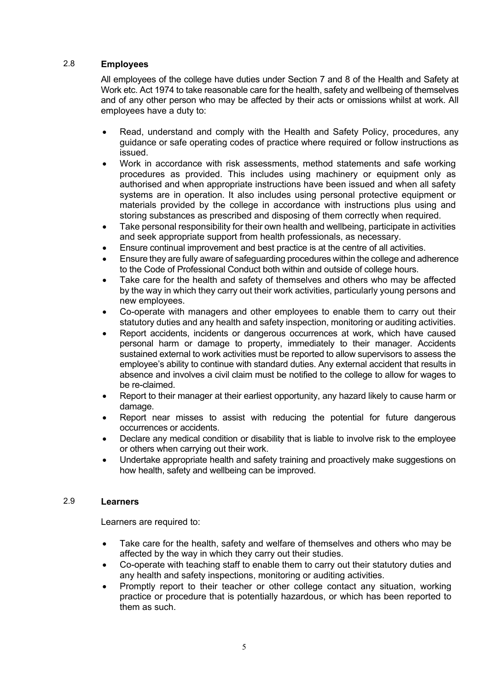### 2.8 **Employees**

All employees of the college have duties under Section 7 and 8 of the Health and Safety at Work etc. Act 1974 to take reasonable care for the health, safety and wellbeing of themselves and of any other person who may be affected by their acts or omissions whilst at work. All employees have a duty to:

- Read, understand and comply with the Health and Safety Policy, procedures, any guidance or safe operating codes of practice where required or follow instructions as issued.
- Work in accordance with risk assessments, method statements and safe working procedures as provided. This includes using machinery or equipment only as authorised and when appropriate instructions have been issued and when all safety systems are in operation. It also includes using personal protective equipment or materials provided by the college in accordance with instructions plus using and storing substances as prescribed and disposing of them correctly when required.
- Take personal responsibility for their own health and wellbeing, participate in activities and seek appropriate support from health professionals, as necessary.
- Ensure continual improvement and best practice is at the centre of all activities.
- Ensure they are fully aware of safeguarding procedures within the college and adherence to the Code of Professional Conduct both within and outside of college hours.
- Take care for the health and safety of themselves and others who may be affected by the way in which they carry out their work activities, particularly young persons and new employees.
- Co-operate with managers and other employees to enable them to carry out their statutory duties and any health and safety inspection, monitoring or auditing activities.
- Report accidents, incidents or dangerous occurrences at work, which have caused personal harm or damage to property, immediately to their manager. Accidents sustained external to work activities must be reported to allow supervisors to assess the employee's ability to continue with standard duties. Any external accident that results in absence and involves a civil claim must be notified to the college to allow for wages to be re-claimed.
- Report to their manager at their earliest opportunity, any hazard likely to cause harm or damage.
- Report near misses to assist with reducing the potential for future dangerous occurrences or accidents.
- Declare any medical condition or disability that is liable to involve risk to the employee or others when carrying out their work.
- Undertake appropriate health and safety training and proactively make suggestions on how health, safety and wellbeing can be improved.

### 2.9 **Learners**

Learners are required to:

- Take care for the health, safety and welfare of themselves and others who may be affected by the way in which they carry out their studies.
- Co-operate with teaching staff to enable them to carry out their statutory duties and any health and safety inspections, monitoring or auditing activities.
- Promptly report to their teacher or other college contact any situation, working practice or procedure that is potentially hazardous, or which has been reported to them as such.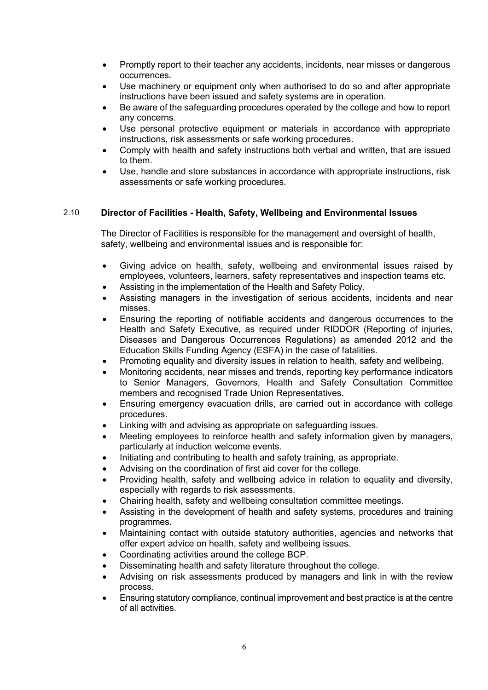- Promptly report to their teacher any accidents, incidents, near misses or dangerous occurrences.
- Use machinery or equipment only when authorised to do so and after appropriate instructions have been issued and safety systems are in operation.
- Be aware of the safeguarding procedures operated by the college and how to report any concerns.
- Use personal protective equipment or materials in accordance with appropriate instructions, risk assessments or safe working procedures.
- Comply with health and safety instructions both verbal and written, that are issued to them.
- Use, handle and store substances in accordance with appropriate instructions, risk assessments or safe working procedures.

### 2.10 **Director of Facilities - Health, Safety, Wellbeing and Environmental Issues**

The Director of Facilities is responsible for the management and oversight of health, safety, wellbeing and environmental issues and is responsible for:

- Giving advice on health, safety, wellbeing and environmental issues raised by employees, volunteers, learners, safety representatives and inspection teams etc.
- Assisting in the implementation of the Health and Safety Policy.
- Assisting managers in the investigation of serious accidents, incidents and near misses.
- Ensuring the reporting of notifiable accidents and dangerous occurrences to the Health and Safety Executive, as required under RIDDOR (Reporting of injuries, Diseases and Dangerous Occurrences Regulations) as amended 2012 and the Education Skills Funding Agency (ESFA) in the case of fatalities.
- Promoting equality and diversity issues in relation to health, safety and wellbeing.
- Monitoring accidents, near misses and trends, reporting key performance indicators to Senior Managers, Governors, Health and Safety Consultation Committee members and recognised Trade Union Representatives.
- Ensuring emergency evacuation drills, are carried out in accordance with college procedures.
- Linking with and advising as appropriate on safeguarding issues.
- Meeting employees to reinforce health and safety information given by managers, particularly at induction welcome events.
- Initiating and contributing to health and safety training, as appropriate.
- Advising on the coordination of first aid cover for the college.
- Providing health, safety and wellbeing advice in relation to equality and diversity, especially with regards to risk assessments.
- Chairing health, safety and wellbeing consultation committee meetings.
- Assisting in the development of health and safety systems, procedures and training programmes.
- Maintaining contact with outside statutory authorities, agencies and networks that offer expert advice on health, safety and wellbeing issues.
- Coordinating activities around the college BCP.
- Disseminating health and safety literature throughout the college.
- Advising on risk assessments produced by managers and link in with the review process.
- Ensuring statutory compliance, continual improvement and best practice is at the centre of all activities.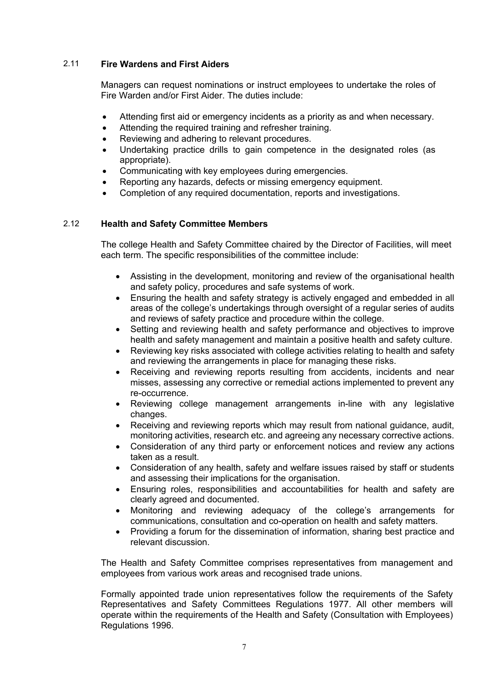### 2.11 **Fire Wardens and First Aiders**

Managers can request nominations or instruct employees to undertake the roles of Fire Warden and/or First Aider. The duties include:

- Attending first aid or emergency incidents as a priority as and when necessary.
- Attending the required training and refresher training.
- Reviewing and adhering to relevant procedures.
- Undertaking practice drills to gain competence in the designated roles (as appropriate).
- Communicating with key employees during emergencies.
- Reporting any hazards, defects or missing emergency equipment.
- Completion of any required documentation, reports and investigations.

### 2.12 **Health and Safety Committee Members**

The college Health and Safety Committee chaired by the Director of Facilities, will meet each term. The specific responsibilities of the committee include:

- Assisting in the development, monitoring and review of the organisational health and safety policy, procedures and safe systems of work.
- Ensuring the health and safety strategy is actively engaged and embedded in all areas of the college's undertakings through oversight of a regular series of audits and reviews of safety practice and procedure within the college.
- Setting and reviewing health and safety performance and objectives to improve health and safety management and maintain a positive health and safety culture.
- Reviewing key risks associated with college activities relating to health and safety and reviewing the arrangements in place for managing these risks.
- Receiving and reviewing reports resulting from accidents, incidents and near misses, assessing any corrective or remedial actions implemented to prevent any re-occurrence.
- Reviewing college management arrangements in-line with any legislative changes.
- Receiving and reviewing reports which may result from national guidance, audit, monitoring activities, research etc. and agreeing any necessary corrective actions.
- Consideration of any third party or enforcement notices and review any actions taken as a result.
- Consideration of any health, safety and welfare issues raised by staff or students and assessing their implications for the organisation.
- Ensuring roles, responsibilities and accountabilities for health and safety are clearly agreed and documented.
- Monitoring and reviewing adequacy of the college's arrangements for communications, consultation and co-operation on health and safety matters.
- Providing a forum for the dissemination of information, sharing best practice and relevant discussion.

The Health and Safety Committee comprises representatives from management and employees from various work areas and recognised trade unions.

Formally appointed trade union representatives follow the requirements of the Safety Representatives and Safety Committees Regulations 1977. All other members will operate within the requirements of the Health and Safety (Consultation with Employees) Regulations 1996.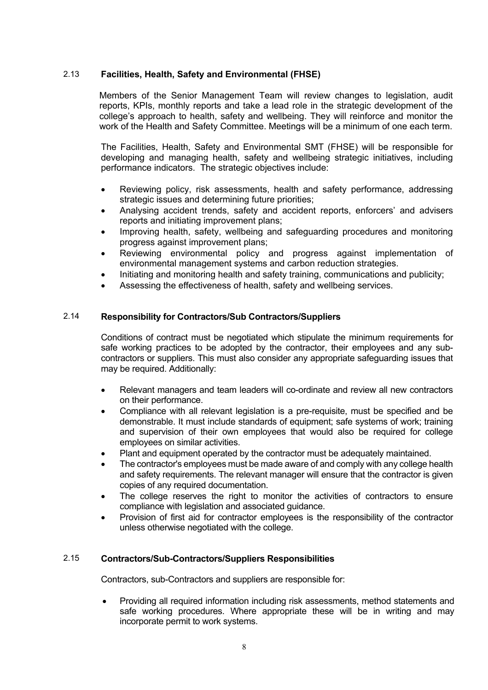### 2.13 **Facilities, Health, Safety and Environmental (FHSE)**

Members of the Senior Management Team will review changes to legislation, audit reports, KPIs, monthly reports and take a lead role in the strategic development of the college's approach to health, safety and wellbeing. They will reinforce and monitor the work of the Health and Safety Committee. Meetings will be a minimum of one each term.

The Facilities, Health, Safety and Environmental SMT (FHSE) will be responsible for developing and managing health, safety and wellbeing strategic initiatives, including performance indicators. The strategic objectives include:

- Reviewing policy, risk assessments, health and safety performance, addressing strategic issues and determining future priorities;
- Analysing accident trends, safety and accident reports, enforcers' and advisers reports and initiating improvement plans;
- Improving health, safety, wellbeing and safeguarding procedures and monitoring progress against improvement plans;
- Reviewing environmental policy and progress against implementation of environmental management systems and carbon reduction strategies.
- Initiating and monitoring health and safety training, communications and publicity;
- Assessing the effectiveness of health, safety and wellbeing services.

### 2.14 **Responsibility for Contractors/Sub Contractors/Suppliers**

Conditions of contract must be negotiated which stipulate the minimum requirements for safe working practices to be adopted by the contractor, their employees and any subcontractors or suppliers. This must also consider any appropriate safeguarding issues that may be required. Additionally:

- Relevant managers and team leaders will co-ordinate and review all new contractors on their performance.
- Compliance with all relevant legislation is a pre-requisite, must be specified and be demonstrable. It must include standards of equipment; safe systems of work; training and supervision of their own employees that would also be required for college employees on similar activities.
- Plant and equipment operated by the contractor must be adequately maintained.
- The contractor's employees must be made aware of and comply with any college health and safety requirements. The relevant manager will ensure that the contractor is given copies of any required documentation.
- The college reserves the right to monitor the activities of contractors to ensure compliance with legislation and associated guidance.
- Provision of first aid for contractor employees is the responsibility of the contractor unless otherwise negotiated with the college.

### 2.15 **Contractors/Sub-Contractors/Suppliers Responsibilities**

Contractors, sub-Contractors and suppliers are responsible for:

• Providing all required information including risk assessments, method statements and safe working procedures. Where appropriate these will be in writing and may incorporate permit to work systems.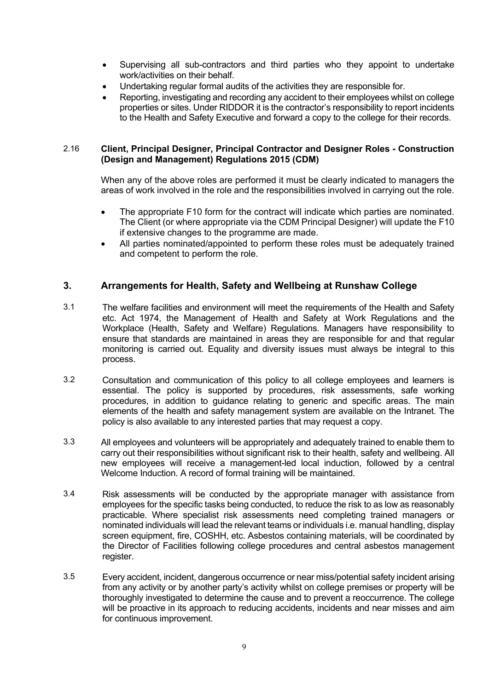- Supervising all sub-contractors and third parties who they appoint to undertake work/activities on their behalf.
- Undertaking regular formal audits of the activities they are responsible for.
- Reporting, investigating and recording any accident to their employees whilst on college properties or sites. Under RIDDOR it is the contractor's responsibility to report incidents to the Health and Safety Executive and forward a copy to the college for their records.

#### 2.16 **Client, Principal Designer, Principal Contractor and Designer Roles - Construction (Design and Management) Regulations 2015 (CDM)**

When any of the above roles are performed it must be clearly indicated to managers the areas of work involved in the role and the responsibilities involved in carrying out the role.

- The appropriate F10 form for the contract will indicate which parties are nominated. The Client (or where appropriate via the CDM Principal Designer) will update the F10 if extensive changes to the programme are made.
- All parties nominated/appointed to perform these roles must be adequately trained and competent to perform the role.

## **3. Arrangements for Health, Safety and Wellbeing at Runshaw College**

- 3.1 The welfare facilities and environment will meet the requirements of the Health and Safety etc. Act 1974, the Management of Health and Safety at Work Regulations and the Workplace (Health, Safety and Welfare) Regulations. Managers have responsibility to ensure that standards are maintained in areas they are responsible for and that regular monitoring is carried out. Equality and diversity issues must always be integral to this process.
- 3.2 Consultation and communication of this policy to all college employees and learners is essential. The policy is supported by procedures, risk assessments, safe working procedures, in addition to guidance relating to generic and specific areas. The main elements of the health and safety management system are available on the Intranet. The policy is also available to any interested parties that may request a copy.
- 3.3 All employees and volunteers will be appropriately and adequately trained to enable them to carry out their responsibilities without significant risk to their health, safety and wellbeing. All new employees will receive a management-led local induction, followed by a central Welcome Induction. A record of formal training will be maintained.
- 3.4 Risk assessments will be conducted by the appropriate manager with assistance from employees for the specific tasks being conducted, to reduce the risk to as low as reasonably practicable. Where specialist risk assessments need completing trained managers or nominated individuals will lead the relevant teams or individuals i.e. manual handling, display screen equipment, fire, COSHH, etc. Asbestos containing materials, will be coordinated by the Director of Facilities following college procedures and central asbestos management register.
- 3.5 Every accident, incident, dangerous occurrence or near miss/potential safety incident arising from any activity or by another party's activity whilst on college premises or property will be thoroughly investigated to determine the cause and to prevent a reoccurrence. The college will be proactive in its approach to reducing accidents, incidents and near misses and aim for continuous improvement.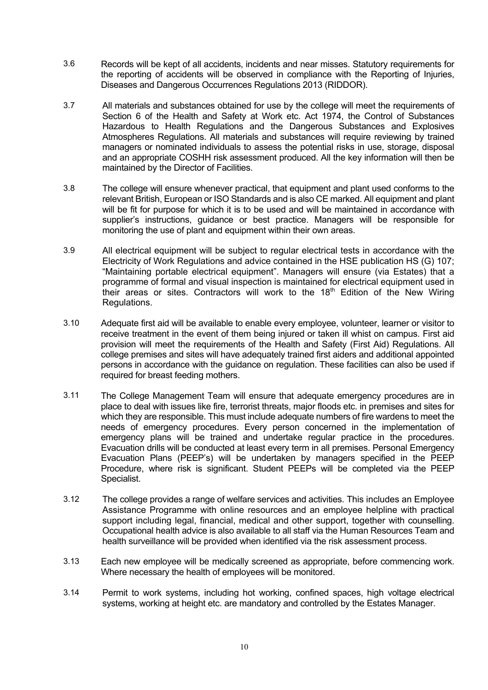- 3.6 Records will be kept of all accidents, incidents and near misses. Statutory requirements for the reporting of accidents will be observed in compliance with the Reporting of Injuries, Diseases and Dangerous Occurrences Regulations 2013 (RIDDOR).
- 3.7 All materials and substances obtained for use by the college will meet the requirements of Section 6 of the Health and Safety at Work etc. Act 1974, the Control of Substances Hazardous to Health Regulations and the Dangerous Substances and Explosives Atmospheres Regulations. All materials and substances will require reviewing by trained managers or nominated individuals to assess the potential risks in use, storage, disposal and an appropriate COSHH risk assessment produced. All the key information will then be maintained by the Director of Facilities.
- 3.8 The college will ensure whenever practical, that equipment and plant used conforms to the relevant British, European or ISO Standards and is also CE marked. All equipment and plant will be fit for purpose for which it is to be used and will be maintained in accordance with supplier's instructions, guidance or best practice. Managers will be responsible for monitoring the use of plant and equipment within their own areas.
- 3.9 All electrical equipment will be subject to regular electrical tests in accordance with the Electricity of Work Regulations and advice contained in the HSE publication HS (G) 107; "Maintaining portable electrical equipment". Managers will ensure (via Estates) that a programme of formal and visual inspection is maintained for electrical equipment used in their areas or sites. Contractors will work to the 18<sup>th</sup> Edition of the New Wiring Regulations.
- 3.10 Adequate first aid will be available to enable every employee, volunteer, learner or visitor to receive treatment in the event of them being injured or taken ill whist on campus. First aid provision will meet the requirements of the Health and Safety (First Aid) Regulations. All college premises and sites will have adequately trained first aiders and additional appointed persons in accordance with the guidance on regulation. These facilities can also be used if required for breast feeding mothers.
- 3.11 The College Management Team will ensure that adequate emergency procedures are in place to deal with issues like fire, terrorist threats, major floods etc. in premises and sites for which they are responsible. This must include adequate numbers of fire wardens to meet the needs of emergency procedures. Every person concerned in the implementation of emergency plans will be trained and undertake regular practice in the procedures. Evacuation drills will be conducted at least every term in all premises. Personal Emergency Evacuation Plans (PEEP's) will be undertaken by managers specified in the PEEP Procedure, where risk is significant. Student PEEPs will be completed via the PEEP Specialist.
- 3.12 The college provides a range of welfare services and activities. This includes an Employee Assistance Programme with online resources and an employee helpline with practical support including legal, financial, medical and other support, together with counselling. Occupational health advice is also available to all staff via the Human Resources Team and health surveillance will be provided when identified via the risk assessment process.
- 3.13 Each new employee will be medically screened as appropriate, before commencing work. Where necessary the health of employees will be monitored.
- 3.14 Permit to work systems, including hot working, confined spaces, high voltage electrical systems, working at height etc. are mandatory and controlled by the Estates Manager.